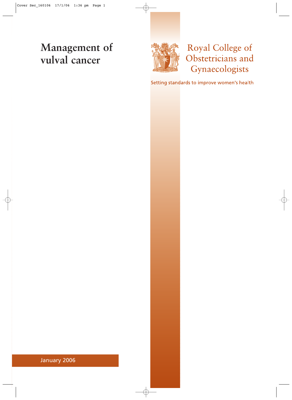# **Management of vulval cancer**



# Royal College of Obstetricians and Gynaecologists

Setting standards to improve women's health

January 2006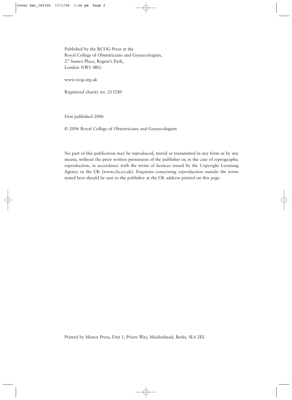Published by the RCOG Press at the Royal College of Obstetricians and Gynaecologists, 27 Sussex Place, Regent's Park, London NW1 4RG

www.rcog.org.uk

Registered charity no. 213280

First published 2006

© 2006 Royal College of Obstetricians and Gynaecologists

No part of this publication may be reproduced, stored or transmitted in any form or by any means, without the prior written permission of the publisher or, in the case of reprographic reproduction, in accordance with the terms of licences issued by the Copyright Licensing Agency in the UK [www.cla.co.uk]. Enquiries concerning reproduction outside the terms stated here should be sent to the publisher at the UK address printed on this page.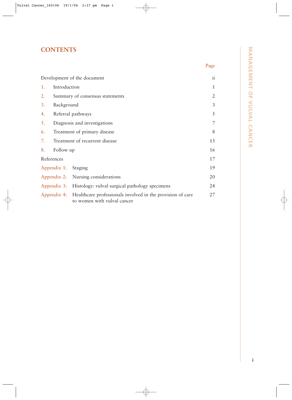# **CONTENTS**

|                             |                                 |                                                                                                       | Page         |  |
|-----------------------------|---------------------------------|-------------------------------------------------------------------------------------------------------|--------------|--|
| Development of the document |                                 |                                                                                                       |              |  |
| 1.                          | Introduction                    |                                                                                                       | $\mathbf{1}$ |  |
| 2.                          | Summary of consensus statements |                                                                                                       |              |  |
| 3.                          | Background                      |                                                                                                       |              |  |
| 4.                          | Referral pathways               |                                                                                                       |              |  |
| 5.                          |                                 | Diagnosis and investigations                                                                          | 7            |  |
| 6.                          |                                 | Treatment of primary disease                                                                          | 8            |  |
| 7.                          | Treatment of recurrent disease  |                                                                                                       | 15           |  |
| 8.                          | Follow up                       |                                                                                                       | 16           |  |
| References                  |                                 |                                                                                                       | 17           |  |
|                             | Appendix 1: Staging             |                                                                                                       | 19           |  |
|                             |                                 | Appendix 2: Nursing considerations                                                                    | 20           |  |
|                             |                                 | Appendix 3: Histology: vulval surgical pathology specimens                                            | 24           |  |
|                             |                                 | Appendix 4: Healthcare professionals involved in the provision of care<br>to women with vulval cancer | 27           |  |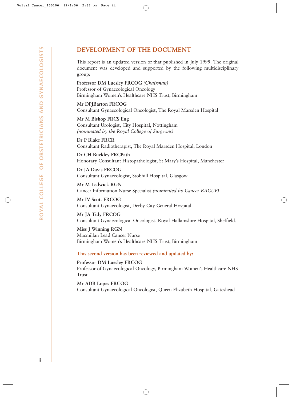# **DEVELOPMENT OF THE DOCUMENT**

This report is an updated version of that published in July 1999. The original document was developed and supported by the following multidisciplinary group:

**Professor DM Luesley FRCOG** *(Chairman)* Professor of Gynaecological Oncology Birmingham Women's Healthcare NHS Trust, Birmingham

**Mr DPJBarton FRCOG** Consultant Gynaecological Oncologist, The Royal Marsden Hospital

**Mr M Bishop FRCS Eng** Consultant Urologist, City Hospital, Nottingham *(nominated by the Royal College of Surgeons)*

**Dr P Blake FRCR** Consultant Radiotherapist, The Royal Marsden Hospital, London

**Dr CH Buckley FRCPath** Honorary Consultant Histopathologist, St Mary's Hospital, Manchester

**Dr JA Davis FRCOG** Consultant Gynaecologist, Stobhill Hospital, Glasgow

**Mr M Ledwick RGN** Cancer Information Nurse Specialist *(nominated by Cancer BACUP)*

**Mr IV Scott FRCOG** Consultant Gynaecologist, Derby City General Hospital

**Mr JA Tidy FRCOG** Consultant Gynaecological Oncologist, Royal Hallamshire Hospital, Sheffield.

**Miss J Winning RGN** Macmillan Lead Cancer Nurse Birmingham Women's Healthcare NHS Trust, Birmingham

**This second version has been reviewed and updated by:**

**Professor DM Luesley FRCOG** Professor of Gynaecological Oncology, Birmingham Women's Healthcare NHS Trust

**Mr ADB Lopes FRCOG** Consultant Gynaecological Oncologist, Queen Elizabeth Hospital, Gateshead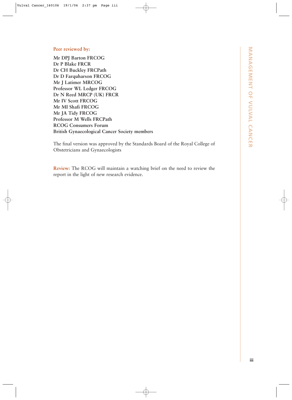### **Peer reviewed by:**

**Mr DPJ Barton FRCOG Dr P Blake FRCR Dr CH Buckley FRCPath Dr D Farquharson FRCOG Mr J Latimer MRCOG Professor WL Ledger FRCOG Dr N Reed MRCP (UK) FRCR Mr IV Scott FRCOG Mr MI Shafi FRCOG Mr JA Tidy FRCOG Professor M Wells FRCPath RCOG Consumers Forum British Gynaecological Cancer Society members**

The final version was approved by the Standards Board of the Royal College of Obstetricians and Gynaecologists

**Review:** The RCOG will maintain a watching brief on the need to review the report in the light of new research evidence.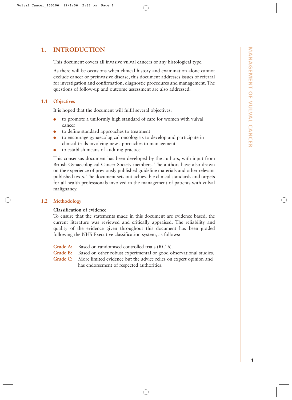# **1. INTRODUCTION**

This document covers all invasive vulval cancers of any histological type.

As there will be occasions when clinical history and examination alone cannot exclude cancer or preinvasive disease, this document addresses issues of referral for investigation and confirmation, diagnostic procedures and management. The questions of follow-up and outcome assessment are also addressed.

### **1.1 Objectives**

It is hoped that the document will fulfil several objectives:

- to promote a uniformly high standard of care for women with vulval cancer
- to define standard approaches to treatment
- to encourage gynaecological oncologists to develop and participate in clinical trials involving new approaches to management
- to establish means of auditing practice.

This consensus document has been developed by the authors, with input from British Gynaecological Cancer Society members. The authors have also drawn on the experience of previously published guideline materials and other relevant published texts. The document sets out achievable clinical standards and targets for all health professionals involved in the management of patients with vulval malignancy.

### **1.2 Methodology**

### **Classification of evidence**

To ensure that the statements made in this document are evidence based, the current literature was reviewed and critically appraised. The reliability and quality of the evidence given throughout this document has been graded following the NHS Executive classification system, as follows:

- **Grade A:** Based on randomised controlled trials (RCTs).
- Grade B: Based on other robust experimental or good observational studies.
- **Grade C:** More limited evidence but the advice relies on expert opinion and has endorsement of respected authorities.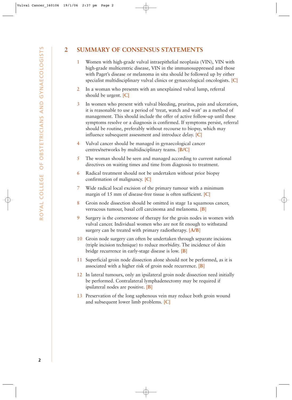# **2 SUMMARY OF CONSENSUS STATEMENTS**

- 1 Women with high-grade vulval intraepithelial neoplasia (VIN), VIN with high-grade multicentric disease, VIN in the immunosuppressed and those with Paget's disease or melanoma in situ should be followed up by either specialist multidisciplinary vulval clinics or gynaecological oncologists. **[C]**
- 2 In a woman who presents with an unexplained vulval lump, referral should be urgent. **[C]**
- 3 In women who present with vulval bleeding, pruritus, pain and ulceration, it is reasonable to use a period of 'treat, watch and wait' as a method of management. This should include the offer of active follow-up until these symptoms resolve or a diagnosis is confirmed. If symptoms persist, referral should be routine, preferably without recourse to biopsy, which may influence subsequent assessment and introduce delay. **[C]**
- 4 Vulval cancer should be managed in gynaecological cancer centres/networks by multidisciplinary teams. **[B/C]**
- 5 The woman should be seen and managed according to current national directives on waiting times and time from diagnosis to treatment.
- 6 Radical treatment should not be undertaken without prior biopsy confirmation of malignancy. **[C]**
- 7 Wide radical local excision of the primary tumour with a minimum margin of 15 mm of disease-free tissue is often sufficient. **[C]**
- 8 Groin node dissection should be omitted in stage 1a squamous cancer, verrucous tumour, basal cell carcinoma and melanoma. **[B]**
- 9 Surgery is the cornerstone of therapy for the groin nodes in women with vulval cancer. Individual women who are not fit enough to withstand surgery can be treated with primary radiotherapy. **[A/B]**
- 10 Groin node surgery can often be undertaken through separate incisions (triple incision technique) to reduce morbidity. The incidence of skin bridge recurrence in early-stage disease is low. **[B]**
- 11 Superficial groin node dissection alone should not be performed, as it is associated with a higher risk of groin node recurrence. **[B]**
- 12 In lateral tumours, only an ipsilateral groin node dissection need initially be performed. Contralateral lymphadenectomy may be required if ipsilateral nodes are positive. **[B]**
- 13 Preservation of the long saphenous vein may reduce both groin wound and subsequent lower limb problems. **[C]**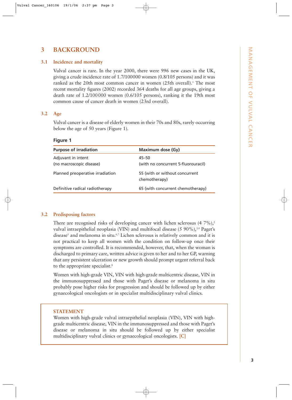# **3 BACKGROUND**

### **3.1 Incidence and mortality**

Vulval cancer is rare. In the year 2000, there were 996 new cases in the UK, giving a crude incidence rate of 1.7/100000 women (0.8/105 persons) and it was ranked as the 20th most common cancer in women (25th overall).<sup>1</sup> The most recent mortality figures (2002) recorded 364 deaths for all age groups, giving a death rate of 1.2/100000 women (0.6/105 persons), ranking it the 19th most common cause of cancer death in women (23rd overall).

### **3.2 Age**

Vulval cancer is a disease of elderly women in their 70s and 80s, rarely occurring below the age of 50 years (Figure 1).

**Figure 1**

| <b>Purpose of irradiation</b>                  | <b>Maximum dose (Gy)</b>                        |
|------------------------------------------------|-------------------------------------------------|
| Adjuvant in intent<br>(no macroscopic disease) | 45–50<br>(with no concurrent 5-fluorouracil)    |
| Planned preoperative irradiation               | 55 (with or without concurrent<br>chemotherapy) |
| Definitive radical radiotherapy                | 65 (with concurrent chemotherapy)               |

### **3.2 Predisposing factors**

There are recognised risks of developing cancer with lichen sclerosus  $(47\%)$ ,<sup>2</sup> vulval intraepithelial neoplasia (VIN) and multifocal disease (5 90%),<sup>3,4</sup> Paget's disease<sup>5</sup> and melanoma in situ.<sup>6,7</sup> Lichen sclerosus is relatively common and it is not practical to keep all women with the condition on follow-up once their symptoms are controlled. It is recommended, however, that, when the woman is discharged to primary care, written advice is given to her and to her GP, warning that any persistent ulceration or new growth should prompt urgent referral back to the appropriate specialist.<sup>8</sup>

Women with high-grade VIN, VIN with high-grade multicentric disease, VIN in the immunosuppressed and those with Paget's disease or melanoma in situ probably pose higher risks for progression and should be followed up by either gynaecological oncologists or in specialist multidisciplinary vulval clinics.

### **STATEMENT**

Women with high-grade vulval intraepithelial neoplasia (VIN), VIN with highgrade multicentric disease, VIN in the immunosuppressed and those with Paget's disease or melanoma in situ should be followed up by either specialist multidisciplinary vulval clinics or gynaecological oncologists. **[C]**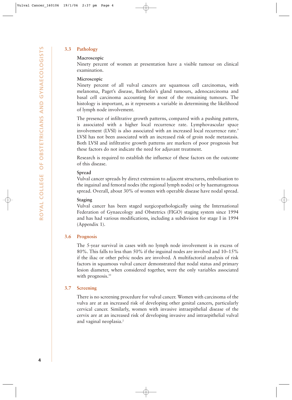### **3.3 Pathology**

### **Macroscopic**

Ninety percent of women at presentation have a visible tumour on clinical examination.

### **Microscopic**

Ninety percent of all vulval cancers are squamous cell carcinomas, with melanoma, Paget's disease, Bartholin's gland tumours, adenocarcinoma and basal cell carcinoma accounting for most of the remaining tumours. The histology is important, as it represents a variable in determining the likelihood of lymph node involvement.

The presence of infiltrative growth patterns, compared with a pushing pattern, is associated with a higher local recurrence rate. Lymphovascular space involvement (LVSI) is also associated with an increased local recurrence rate.<sup>9</sup> LVSI has not been associated with an increased risk of groin node metastasis. Both LVSI and infiltrative growth patterns are markers of poor prognosis but these factors do not indicate the need for adjuvant treatment.

Research is required to establish the influence of these factors on the outcome of this disease.

### **Spread**

Vulval cancer spreads by direct extension to adjacent structures, embolisation to the inguinal and femoral nodes (the regional lymph nodes) or by haematogenous spread. Overall, about 30% of women with operable disease have nodal spread.

### **Staging**

Vulval cancer has been staged surgicopathologically using the International Federation of Gynaecology and Obstetrics (FIGO) staging system since 1994 and has had various modifications, including a subdivision for stage I in 1994 (Appendix 1).

### **3.6 Prognosis**

The 5-year survival in cases with no lymph node involvement is in excess of 80%. This falls to less than 50% if the inguinal nodes are involved and 10–15% if the iliac or other pelvic nodes are involved. A multifactorial analysis of risk factors in squamous vulval cancer demonstrated that nodal status and primary lesion diameter, when considered together, were the only variables associated with prognosis.<sup>10</sup>

### **3.7 Screening**

There is no screening procedure for vulval cancer. Women with carcinoma of the vulva are at an increased risk of developing other genital cancers, particularly cervical cancer. Similarly, women with invasive intraepithelial disease of the cervix are at an increased risk of developing invasive and intraepithelial vulval and vaginal neoplasia.<sup>2</sup>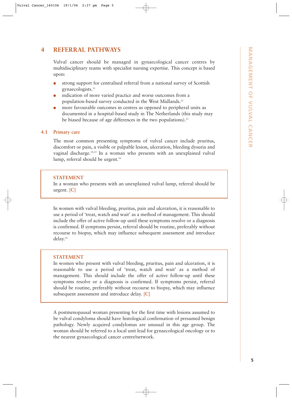# **4 REFERRAL PATHWAYS**

Vulval cancer should be managed in gynaecological cancer centres by multidisciplinary teams with specialist nursing expertise. This concept is based upon:

- strong support for centralised referral from a national survey of Scottish gynaecologists.<sup>11</sup>
- indication of more varied practice and worse outcomes from a population-based survey conducted in the West Midlands.12
- more favourable outcomes in centres as opposed to peripheral units as documented in a hospital-based study in The Netherlands (this study may be biased because of age differences in the two populations).<sup>13</sup>

### **4.1 Primary care**

The most common presenting symptoms of vulval cancer include pruritus, discomfort or pain, a visible or palpable lesion, ulceration, bleeding dysuria and vaginal discharge.14,15 In a woman who presents with an unexplained vulval lump, referral should be urgent.<sup>16</sup>

### **STATEMENT**

In a woman who presents with an unexplained vulval lump, referral should be urgent. **[C]**

In women with vulval bleeding, pruritus, pain and ulceration, it is reasonable to use a period of 'treat, watch and wait' as a method of management. This should include the offer of active follow-up until these symptoms resolve or a diagnosis is confirmed. If symptoms persist, referral should be routine, preferably without recourse to biopsy, which may influence subsequent assessment and introduce delay.16

### **STATEMENT**

In women who present with vulval bleeding, pruritus, pain and ulceration, it is reasonable to use a period of 'treat, watch and wait' as a method of management. This should include the offer of active follow-up until these symptoms resolve or a diagnosis is confirmed. If symptoms persist, referral should be routine, preferably without recourse to biopsy, which may influence subsequent assessment and introduce delay. **[C]**

A postmenopausal woman presenting for the first time with lesions assumed to be vulval condyloma should have histological confirmation of presumed benign pathology. Newly acquired condylomas are unusual in this age group. The woman should be referred to a local unit lead for gynaecological oncology or to the nearest gynaecological cancer centre/network.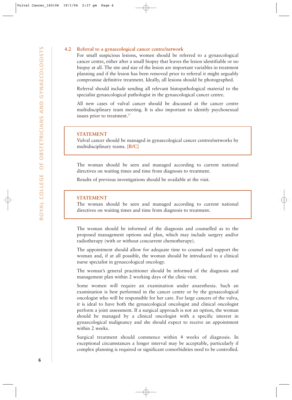### **4.2 Referral to a gynaecological cancer centre/network**

For small suspicious lesions, women should be referred to a gynaecological cancer centre, either after a small biopsy that leaves the lesion identifiable or no biopsy at all. The site and size of the lesion are important variables in treatment planning and if the lesion has been removed prior to referral it might arguably compromise definitive treatment. Ideally, all lesions should be photographed.

Referral should include sending all relevant histopathological material to the specialist gynaecological pathologist in the gynaecological cancer centre.

All new cases of vulval cancer should be discussed at the cancer centre multidisciplinary team meeting. It is also important to identify psychosexual issues prior to treatment.<sup>17</sup>

### **STATEMENT**

Vulval cancer should be managed in gynaecological cancer centres/networks by multidisciplinary teams. **[B/C]**

The woman should be seen and managed according to current national directives on waiting times and time from diagnosis to treatment.

Results of previous investigations should be available at the visit.

### **STATEMENT**

The woman should be seen and managed according to current national directives on waiting times and time from diagnosis to treatment.

The woman should be informed of the diagnosis and counselled as to the proposed management options and plan, which may include surgery and/or radiotherapy (with or without concurrent chemotherapy).

The appointment should allow for adequate time to counsel and support the woman and, if at all possible, the woman should be introduced to a clinical nurse specialist in gynaecological oncology.

The woman's general practitioner should be informed of the diagnosis and management plan within 2 working days of the clinic visit.

Some women will require an examination under anaesthesia. Such an examination is best performed in the cancer centre or by the gynaecological oncologist who will be responsible for her care. For large cancers of the vulva, it is ideal to have both the gynaecological oncologist and clinical oncologist perform a joint assessment. If a surgical approach is not an option, the woman should be managed by a clinical oncologist with a specific interest in gynaecological malignancy and she should expect to receive an appointment within 2 weeks.

Surgical treatment should commence within 4 weeks of diagnosis. In exceptional circumstances a longer interval may be acceptable, particularly if complex planning is required or significant comorbidities need to be controlled.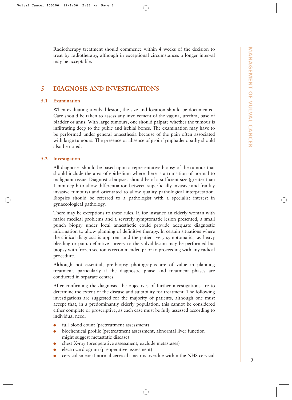Radiotherapy treatment should commence within 4 weeks of the decision to treat by radiotherapy, although in exceptional circumstances a longer interval may be acceptable.

# **5 DIAGNOSIS AND INVESTIGATIONS**

### **5.1 Examination**

When evaluating a vulval lesion, the size and location should be documented. Care should be taken to assess any involvement of the vagina, urethra, base of bladder or anus. With large tumours, one should palpate whether the tumour is infiltrating deep to the pubic and ischial bones. The examination may have to be performed under general anaesthesia because of the pain often associated with large tumours. The presence or absence of groin lymphadenopathy should also be noted.

### **5.2 Investigation**

All diagnoses should be based upon a representative biopsy of the tumour that should include the area of epithelium where there is a transition of normal to malignant tissue. Diagnostic biopsies should be of a sufficient size (greater than 1-mm depth to allow differentiation between superficially invasive and frankly invasive tumours) and orientated to allow quality pathological interpretation. Biopsies should be referred to a pathologist with a specialist interest in gynaecological pathology.

There may be exceptions to these rules. If, for instance an elderly woman with major medical problems and a severely symptomatic lesion presented, a small punch biopsy under local anaesthetic could provide adequate diagnostic information to allow planning of definitive therapy. In certain situations where the clinical diagnosis is apparent and the patient very symptomatic, i.e. heavy bleeding or pain, definitive surgery to the vulval lesion may be performed but biopsy with frozen section is recommended prior to proceeding with any radical procedure.

Although not essential, pre-biopsy photographs are of value in planning treatment, particularly if the diagnostic phase and treatment phases are conducted in separate centres.

After confirming the diagnosis, the objectives of further investigations are to determine the extent of the disease and suitability for treatment. The following investigations are suggested for the majority of patients, although one must accept that, in a predominantly elderly population, this cannot be considered either complete or proscriptive, as each case must be fully assessed according to individual need:

- full blood count (pretreatment assessment)
- biochemical profile (pretreatment assessment, abnormal liver function might suggest metastatic disease)
- chest X-ray (preoperative assessment, exclude metastases)
- electrocardiogram (preoperative assessment)
- cervical smear if normal cervical smear is overdue within the NHS cervical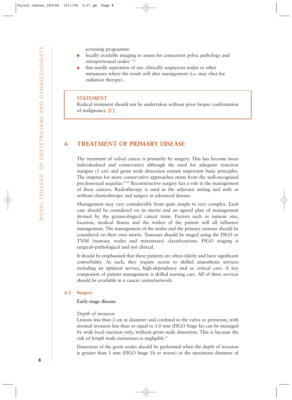screening programme

- locally available imaging to assess for concurrent pelvic pathology and retroperitoneal nodes<sup>17-22</sup>
- fine-needle aspiration of any clinically suspicious nodes or other metastases where the result will alter management (i.e. may elect for radiation therapy).

### **STATEMENT**

Radical treatment should not be undertaken without prior biopsy confirmation of malignancy. **[C]**

### **6 TREATMENT OF PRIMARY DISEASE**

The treatment of vulval cancer is primarily by surgery. This has become more individualised and conservative although the need for adequate resection margins (1 cm) and groin node dissection remain important basic principles. The impetus for more conservative approaches stems from the well-recognised psychosexual sequelae.23,24 Reconstructive surgery has a role in the management of these cancers. Radiotherapy is used in the adjuvant setting and with or without chemotherapy and surgery in advanced disease.

Management may vary considerably from quite simple to very complex. Each case should be considered on its merits and an agreed plan of management devised by the gynaecological cancer team. Factors such as tumour size, location, medical fitness and the wishes of the patient will all influence management. The management of the nodes and the primary tumour should be considered on their own merits. Tumours should be staged using the FIGO or TNM (tumour, nodes and metastases) classifications. FIGO staging is surgical–pathological and not clinical.

It should be emphasised that these patients are often elderly and have significant comorbidity. As such, they require access to skilled anaesthesia services including an epidural service, high-dependency and or critical care. A key component of patient management is skilled nursing care. All of these services should be available in a cancer centre/network.

### **6.1 Surgery**

### **Early-stage disease**

### *Depth of invasion*

Lesions less than 2 cm in diameter and confined to the vulva or perineum, with stromal invasion less than or equal to 1.0 mm (FIGO Stage Ia) can be managed by wide local excision only, without groin node dissection. This is because the risk of lymph node metastases is negligible.25

Dissection of the groin nodes should be performed when the depth of invasion is greater than 1 mm (FIGO Stage 1b or worse) or the maximum diameter of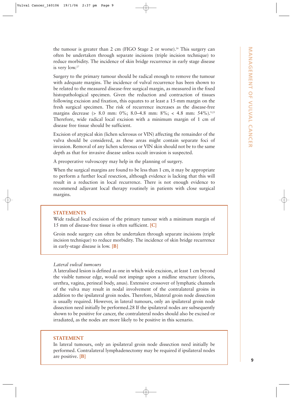the tumour is greater than 2 cm (FIGO Stage 2 or worse).<sup>26</sup> This surgery can often be undertaken through separate incisions (triple incision technique) to reduce morbidity. The incidence of skin bridge recurrence in early stage disease is very low.27

Surgery to the primary tumour should be radical enough to remove the tumour with adequate margins. The incidence of vulval recurrence has been shown to be related to the measured disease-free surgical margin, as measured in the fixed histopathological specimen. Given the reduction and contraction of tissues following excision and fixation, this equates to at least a 15-mm margin on the fresh surgical specimen. The risk of recurrence increases as the disease-free margins decrease (> 8.0 mm: 0%; 8.0–4.8 mm: 8%; < 4.8 mm: 54%).<sup>9,25</sup> Therefore, wide radical local excision with a minimum margin of 1 cm of disease free tissue should be sufficient. In tearetic in greater than 2 can (PRG) Suga 2 or worst).<sup>2</sup> This survey time the simulation of the simulation of the simulation of the simulation of the simulation of the simulation of the simulation of the simulation of

Excision of atypical skin (lichen sclerosus or VIN) affecting the remainder of the vulva should be considered, as these areas might contain separate foci of invasion. Removal of any lichen sclerosus or VIN skin should not be to the same depth as that for invasive disease unless occult invasion is suspected.

A preoperative vulvoscopy may help in the planning of surgery.

When the surgical margins are found to be less than 1 cm, it may be appropriate to perform a further local resection, although evidence is lacking that this will result in a reduction in local recurrence. There is not enough evidence to recommend adjuvant local therapy routinely in patients with close surgical margins.

### **STATEMENTS**

Wide radical local excision of the primary tumour with a minimum margin of 15 mm of disease-free tissue is often sufficient. **[C]**

Groin node surgery can often be undertaken through separate incisions (triple incision technique) to reduce morbidity. The incidence of skin bridge recurrence in early-stage disease is low. **[B]**

### *Lateral vulval tumours*

A lateralised lesion is defined as one in which wide excision, at least 1 cm beyond the visible tumour edge, would not impinge upon a midline structure (clitoris, urethra, vagina, perineal body, anus). Extensive crossover of lymphatic channels of the vulva may result in nodal involvement of the contralateral groins in addition to the ipsilateral groin nodes. Therefore, bilateral groin node dissection is usually required. However, in lateral tumours, only an ipsilateral groin node dissection need initially be performed.28 If the ipsilateral nodes are subsequently shown to be positive for cancer, the contralateral nodes should also be excised or irradiated, as the nodes are more likely to be positive in this scenario.

### **STATEMENT**

In lateral tumours, only an ipsilateral groin node dissection need initially be performed. Contralateral lymphadenectomy may be required if ipsilateral nodes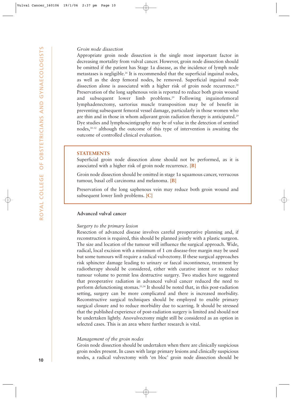### *Groin node dissection*

Appropriate groin node dissection is the single most important factor in decreasing mortality from vulval cancer. However, groin node dissection should be omitted if the patient has Stage 1a disease, as the incidence of lymph node metastases is negligible.<sup>26</sup> It is recommended that the superficial inguinal nodes, as well as the deep femoral nodes, be removed. Superficial inguinal node dissection alone is associated with a higher risk of groin node recurrence.<sup>28</sup> Preservation of the long saphenous vein is reported to reduce both groin wound and subsequent lower limb problems.<sup>29</sup> Following inguinofemoral lymphadenectomy, sartorius muscle transposition may be of benefit in preventing subsequent femoral vessel damage, particularly in those women who are thin and in those in whom adjuvant groin radiation therapy is anticipated.<sup>29</sup> Dye studies and lymphoscintigraphy may be of value in the detection of sentinel nodes,30–32 although the outcome of this type of intervention is awaiting the outcome of controlled clinical evaluation.

### **STATEMENTS**

Superficial groin node dissection alone should not be performed, as it is associated with a higher risk of groin node recurrence. **[B]**

Groin node dissection should be omitted in stage 1a squamous cancer, verrucous tumour, basal cell carcinoma and melanoma. **[B]**

Preservation of the long saphenous vein may reduce both groin wound and subsequent lower limb problems. **[C]**

### **Advanced vulval cancer**

### *Surgery to the primary lesion*

Resection of advanced disease involves careful preoperative planning and, if reconstruction is required, this should be planned jointly with a plastic surgeon. The size and location of the tumour will influence the surgical approach. Wide, radical, local excision with a minimum of 1 cm disease-free margin may be used but some tumours will require a radical vulvectomy. If these surgical approaches risk sphincter damage leading to urinary or faecal incontinence, treatment by radiotherapy should be considered, either with curative intent or to reduce tumour volume to permit less destructive surgery. Two studies have suggested that preoperative radiation in advanced vulval cancer reduced the need to perform defunctioning stomas.<sup>33,34</sup> It should be noted that, in this post-radiation setting, surgery can be more complicated and there is increased morbidity. Reconstructive surgical techniques should be employed to enable primary surgical closure and to reduce morbidity due to scarring. It should be stressed that the published experience of post-radiation surgery is limited and should not be undertaken lightly. Anovulvectomy might still be considered as an option in selected cases. This is an area where further research is vital. From model dissection is the single most important factor in the single most important factor in box control and control in the single state of the plane of the single state in the single state of the plane of the plane o

### *Management of the groin nodes*

Groin node dissection should be undertaken when there are clinically suspicious groin nodes present. In cases with large primary lesions and clinically suspicious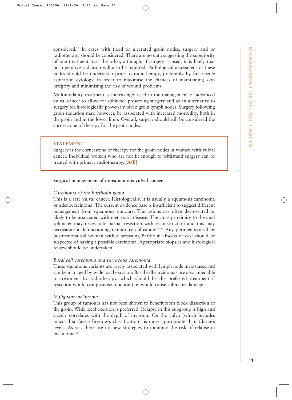considered.27 In cases with fixed or ulcerated groin nodes, surgery and or radiotherapy should be considered. There are no data suggesting the superiority of one treatment over the other, although, if surgery is used, it is likely that postoperative radiation will also be required. Pathological assessment of these nodes should be undertaken prior to radiotherapy, preferably by fine-needle aspiration cytology, in order to maximise the chances of maintaining skin integrity and minimising the risk of wound problems.

Multimodality treatment is increasingly used in the management of advanced vulval cancer to allow for sphincter preserving surgery and as an alternative to surgery for histologically proven involved groin lymph nodes. Surgery following groin radiation may, however, be associated with increased morbidity, both in the groin and in the lower limb. Overall, surgery should still be considered the cornerstone of therapy for the groin nodes.

### **STATEMENT**

Surgery is the cornerstone of therapy for the groin nodes in women with vulval cancer. Individual women who are not fit enough to withstand surgery can be treated with primary radiotherapy. **[A/B]**

### **Surgical management of nonsquamous vulval cancer**

### *Carcinoma of the Bartholin gland*

This is a rare vulval cancer. Histologically, it is usually a squamous carcinoma or adenocarcinoma. The current evidence base is insufficient to suggest different management from squamous tumours. The lesions are often deep-seated or likely to be associated with metastatic disease. The close proximity to the anal sphincter may necessitate partial resection with reconstruction and this may necessitate a defunctioning temporary colostomy.35,36 Any perimenopausal or postmenopausal woman with a persisting Bartholin abscess or cyst should be suspected of having a possible carcinoma. Appropriate biopsies and histological review should be undertaken.

### *Basal cell carcinoma and verrucous carcinoma*

These squamous variants are rarely associated with lymph node metastases and can be managed by wide local excision. Basal cell carcinomas are also amenable to treatment by radiotherapy, which should be the preferred treatment if resection would compromise function (i.e. would cause sphincter damage).

### *Malignant melanoma*

This group of tumours has not been shown to benefit from block dissection of the groin. Wide local excision is preferred. Relapse in this subgroup is high and closely correlates with the depth of invasion. On the vulva (which includes mucosal surfaces) Breslow's classification<sup>37</sup> is more appropriate than Clarke's levels. As yet, there are no new strategies to minimise the risk of relapse in melanoma.38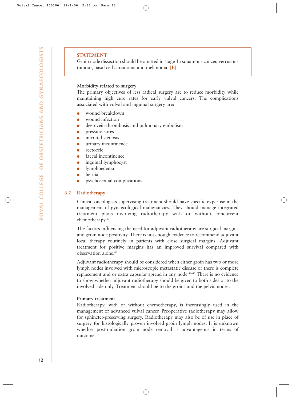### **STATEMENT**

Groin node dissection should be omitted in stage 1a squamous cancer, verrucous tumour, basal cell carcinoma and melanoma. **[B]**

### **Morbidity related to surgery**

The primary objectives of less radical surgery are to reduce morbidity while maintaining high cure rates for early vulval cancers. The complications associated with vulval and inguinal surgery are:

- wound breakdown
- wound infection
- deep vein thrombosis and pulmonary embolism
- **pressure sores**
- introital stenosis
- urinary incontinence
- rectocele
- faecal incontinence
- inguinal lymphocyst
- lymphoedema
- hernia
- psychosexual complications.

### **6.2 Radiotherapy**

Clinical oncologists supervising treatment should have specific expertise in the management of gynaecological malignancies. They should manage integrated treatment plans involving radiotherapy with or without concurrent chemotherapy.39

The factors influencing the need for adjuvant radiotherapy are surgical margins and groin node positivity. There is not enough evidence to recommend adjuvant local therapy routinely in patients with close surgical margins. Adjuvant treatment for positive margins has an improved survival compared with observation alone.40

Adjuvant radiotherapy should be considered when either groin has two or more lymph nodes involved with microscopic metastatic disease or there is complete replacement and or extra capsular spread in any node.41–43 There is no evidence to show whether adjuvant radiotherapy should be given to both sides or to the involved side only. Treatment should be to the groins and the pelvic nodes.

### **Primary treatment**

Radiotherapy, with or without chemotherapy, is increasingly used in the management of advanced vulval cancer. Preoperative radiotherapy may allow for sphincter-preserving surgery. Radiotherapy may also be of use in place of surgery for histologically proven involved groin lymph nodes. It is unknown whether post-radiation groin node removal is advantageous in terms of outcome.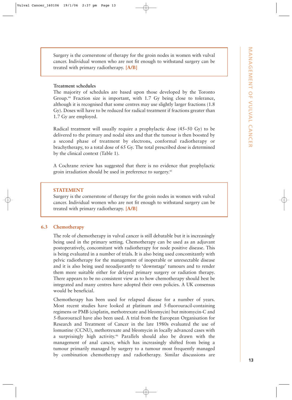Surgery is the cornerstone of therapy for the groin nodes in women with vulval cancer. Individual women who are not fit enough to withstand surgery can be treated with primary radiotherapy. **[A/B]**

### **Treatment schedules**

The majority of schedules are based upon those developed by the Toronto Group.<sup>44</sup> Fraction size is important, with 1.7 Gy being close to tolerance, although it is recognised that some centres may use slightly larger fractions (1.8 Gy). Doses will have to be reduced for radical treatment if fractions greater than 1.7 Gy are employed.

Radical treatment will usually require a prophylactic dose (45–50 Gy) to be delivered to the primary and nodal sites and that the tumour is then boosted by a second phase of treatment by electrons, conformal radiotherapy or brachytherapy, to a total dose of 65 Gy. The total prescribed dose is determined by the clinical context (Table 1).

A Cochrane review has suggested that there is no evidence that prophylactic groin irradiation should be used in preference to surgery.<sup>45</sup>

### **STATEMENT**

Surgery is the cornerstone of therapy for the groin nodes in women with vulval cancer. Individual women who are not fit enough to withstand surgery can be treated with primary radiotherapy. **[A/B]**

### **6.3 Chemotherapy**

The role of chemotherapy in vulval cancer is still debatable but it is increasingly being used in the primary setting. Chemotherapy can be used as an adjuvant postoperatively, concomitant with radiotherapy for node positive disease. This is being evaluated in a number of trials. It is also being used concomitantly with pelvic radiotherapy for the management of inoperable or unresectable disease and it is also being used neoadjuvantly to 'downstage' tumours and to render them more suitable either for delayed primary surgery or radiation therapy. There appears to be no consistent view as to how chemotherapy should best be integrated and many centres have adopted their own policies. A UK consensus would be beneficial.

Chemotherapy has been used for relapsed disease for a number of years. Most recent studies have looked at platinum and 5-fluorouracil-containing regimens or PMB (cisplatin, methotrexate and bleomycin) but mitomycin-C and 5-fluorouracil have also been used. A trial from the European Organisation for Research and Treatment of Cancer in the late 1980s evaluated the use of lomustine (CCNU), methotrexate and bleomycin in locally advanced cases with a surprisingly high activity.46 Parallels should also be drawn with the management of anal cancer, which has increasingly shifted from being a tumour primarily managed by surgery to a tumour most frequently managed by combination chemotherapy and radiotherapy. Similar discussions are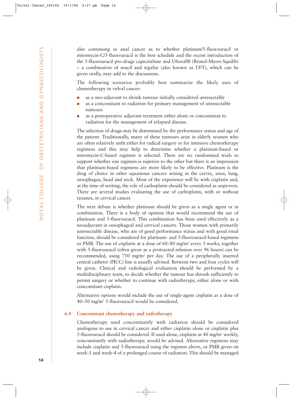also continuing in anal cancer as to whether platinum/5-fluorouracil or mitomycin-C/5-fluorouracil is the best schedule and the recent introduction of the 5-fluorouracil pro-drugs capecitabine and Uftoral® (Bristol-Myers-Squibb) – a combination of uracil and tegafur (also known as UFT), which can be given orally, may add to the discussions.

The following scenarios probably best summarise the likely uses of chemotherapy in vulval cancer:

- as a neo-adjuvant to shrink tumour initially considered unresectable
- as a concomitant to radiation for primary management of unresectable tumours
- as a postoperative adjuvant treatment either alone or concomitant to radiation for the management of relapsed disease.

The selection of drugs may be determined by the performance status and age of the patient. Traditionally, many of these tumours arise in elderly women who are often relatively unfit either for radical surgery or for intensive chemotherapy regimens and this may help to determine whether a platinum-based or mitomycin-C-based regimen is selected. There are no randomised trials to support whether one regimen is superior to the other but there is an impression that platinum-based regimens are more likely to be effective. Platinum is the drug of choice in other squamous cancers arising in the cervix, anus, lung, oesophagus, head and neck. Most of the experience will lie with cisplatin and, at the time of writing, the role of carboplatin should be considered as unproven. There are several studies evaluating the use of carboplatin, with or without taxanes, in cervical cancer.

The next debate is whether platinum should be given as a single agent or in combination. There is a body of opinion that would recommend the use of platinum and 5-fluorouracil. This combination has been used effectively as a neoadjuvant in oesophageal and cervical cancers. Those women with primarily unresectable disease, who are of good performance status and with good renal function, should be considered for platinum- and 5-fluorouracil-based regimens or PMB. The use of cisplatin at a dose of 60–80 mg/m2 every 3 weeks, together with 5-fluorouracil (often given as a protracted infusion over 96 hours) can be recommended, using 750 mg/m2 per day. The use of a peripherally inserted central catheter (PICC) line is usually advised. Between two and four cycles will be given. Clinical and radiological evaluation should be performed by a multidisciplinary team, to decide whether the tumour has shrunk sufficiently to permit surgery or whether to continue with radiotherapy, either alone or with concomitant cisplatin.

Alternative options would include the use of single-agent cisplatin at a dose of 40–50 mg/m2 5-fluorouracil would be considered.

### **6.4 Concomitant chemotherapy and radiotherapy**

Chemotherapy used concomitantly with radiation should be considered analogous to use in cervical cancer and either cisplatin alone or cisplatin plus 5-fluorouracil should be considered. If used alone, cisplatin at 40 mg/m<sup>2</sup> weekly, concomitantly with radiotherapy, would be advised. Alternative regimens may include cisplatin and 5-fluorouracil using the regimen above, or PMB given on week-1 and week-4 of a prolonged course of radiation. This should be managed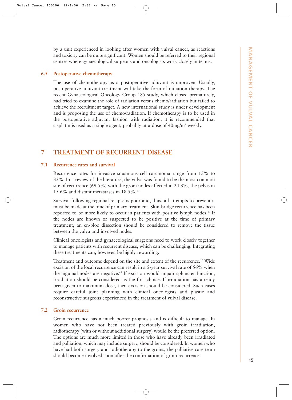by a unit experienced in looking after women with vulval cancer, as reactions and toxicity can be quite significant. Women should be referred to their regional centres where gynaecological surgeons and oncologists work closely in teams.

### **6.5 Postoperative chemotherapy**

The use of chemotherapy as a postoperative adjuvant is unproven. Usually, postoperative adjuvant treatment will take the form of radiation therapy. The recent Gynaecological Oncology Group 185 study, which closed prematurely, had tried to examine the role of radiation versus chemo/radiation but failed to achieve the recruitment target. A new international study is under development and is proposing the use of chemo/radiation. If chemotherapy is to be used in the postoperative adjuvant fashion with radiation, it is recommended that cisplatin is used as a single agent, probably at a dose of 40mg/m2 weekly.

# **7 TREATMENT OF RECURRENT DISEASE**

### **7.1 Recurrence rates and survival**

Recurrence rates for invasive squamous cell carcinoma range from 15% to 33%. In a review of the literature, the vulva was found to be the most common site of recurrence (69.5%) with the groin nodes affected in 24.3%, the pelvis in 15.6% and distant metastases in 18.5%.47

Survival following regional relapse is poor and, thus, all attempts to prevent it must be made at the time of primary treatment. Skin-bridge recurrence has been reported to be more likely to occur in patients with positive lymph nodes.<sup>48</sup> If the nodes are known or suspected to be positive at the time of primary treatment, an en-bloc dissection should be considered to remove the tissue between the vulva and involved nodes.

Clinical oncologists and gynaecological surgeons need to work closely together to manage patients with recurrent disease, which can be challenging. Integrating these treatments can, however, be highly rewarding.

Treatment and outcome depend on the site and extent of the recurrence.<sup>47</sup> Wide excision of the local recurrence can result in a 5-year survival rate of 56% when the inguinal nodes are negative.<sup>49</sup> If excision would impair sphincter function, irradiation should be considered as the first choice. If irradiation has already been given to maximum dose, then excision should be considered. Such cases require careful joint planning with clinical oncologists and plastic and reconstructive surgeons experienced in the treatment of vulval disease.

### **7.2 Groin recurrence**

Groin recurrence has a much poorer prognosis and is difficult to manage. In women who have not been treated previously with groin irradiation, radiotherapy (with or without additional surgery) would be the preferred option. The options are much more limited in those who have already been irradiated and palliation, which may include surgery, should be considered. In women who have had both surgery and radiotherapy to the groins, the palliative care team should become involved soon after the confirmation of groin recurrence.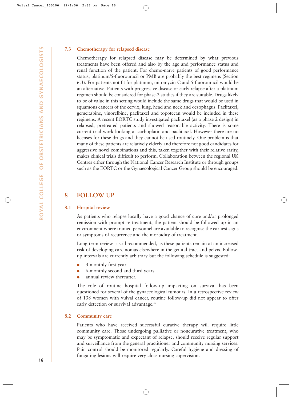### **7.3 Chemotherapy for relapsed disease**

Chemotherapy for relapsed disease may be determined by what previous treatments have been offered and also by the age and performance status and renal function of the patient. For chemo-naïve patients of good performance status, platinum/5-fluorouracil or PMB are probably the best regimens (Section 6.3). For patients not fit for platinum, mitomycin-C and 5-fluorouracil would be an alternative. Patients with progressive disease or early relapse after a platinum regimen should be considered for phase-2 studies if they are suitable. Drugs likely to be of value in this setting would include the same drugs that would be used in squamous cancers of the cervix, lung, head and neck and oesophagus. Paclitaxel, gemcitabine, vinorelbine, paclitaxel and topotecan would be included in these regimens. A recent EORTC study investigated paclitaxel (as a phase 2 design) in relapsed, pretreated patients and showed reasonable activity. There is some current trial work looking at carboplatin and paclitaxel. However there are no licenses for these drugs and they cannot be used routinely. One problem is that many of these patients are relatively elderly and therefore not good candidates for aggressive novel combinations and this, taken together with their relative rarity, makes clinical trials difficult to perform. Collaboration between the regional UK Centres either through the National Cancer Research Institute or through groups such as the EORTC or the Gynaecological Cancer Group should be encouraged.

### **8 FOLLOW UP**

### **8.1 Hospital review**

As patients who relapse locally have a good chance of cure and/or prolonged remission with prompt re-treatment, the patient should be followed up in an environment where trained personnel are available to recognise the earliest signs or symptoms of recurrence and the morbidity of treatment.

Long-term review is still recommended, as these patients remain at an increased risk of developing carcinomas elsewhere in the genital tract and pelvis. Followup intervals are currently arbitrary but the following schedule is suggested:

- 3-monthly first year
- 6-monthly second and third years
- annual review thereafter.

The role of routine hospital follow-up impacting on survival has been questioned for several of the gynaecological tumours. In a retrospective review of 138 women with vulval cancer, routine follow-up did not appear to offer early detection or survival advantage.<sup>50</sup>

### **8.2 Community care**

Patients who have received successful curative therapy will require little community care. Those undergoing palliative or noncurative treatment, who may be symptomatic and expectant of relapse, should receive regular support and surveillance from the general practitioner and community nursing services. Pain control should be monitored regularly. Careful hygiene and dressing of fungating lesions will require very close nursing supervision.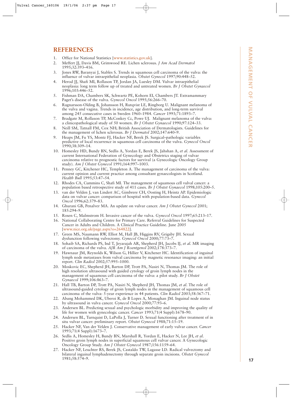## **REFERENCES**

- 1. Office for National Statistics [www.statistics.gov.uk].
- 2. Meffert JJ, Davis BM, Grimwood RE. Lichen sclerosus. *J Am Acad Dermatol* 1995;32:393–416.
- 3. Jones RW, Baranyai J, Stables S. Trends in squamous cell carcinoma of the vulva: the influence of vulvar intraepithelial neoplasia. *Obstet Gynecol* 1997;90:448–52.
- 4. Herod JJ, Shafi MI, Rollason TP, Jordan JA, Luesley DM. Vulvar intraepithelial neoplasia: long term follow up of treated and untreated women. *Br J Obstet Gynaecol* 1996;103:446–52.
- 5. Fishman DA, Chambers SK, Schwartz PE, Kohorn EI, Chambers JT. Extramammary Paget's disease of the vulva. *Gynecol Oncol* 1995;56:266–70.
- 6. Ragnarsson-Olding B, Johansson H, Rutqvist LE, Ringborg U. Malignant melanoma of the vulva and vagina. Trends in incidence, age distribution, and long-term survival among 245 consecutive cases in Sweden 1960–1984. *Cancer* 1993;71:1893–7.
- 7. Bradgate M, Rollason TP, McConkey Cc, Powe UJ. Malignant melanoma of the vulva: a clinicopathological study of 50 women. *Br J Obstet Gynaecol* 1990;97:124–33.
- 8. Neill SM, Tatnall FM, Cox NH; British Association of Dermatologists. Guidelines for the management of lichen sclerosus. *Br J Dermatol* 2002;147:640–9.
- 9. Heaps JM, Fu YS, Montz FJ, Hacker NF, Berek JS. Surgical–pathologic variables predictive of local recurrence in squamous cell carcinoma of the vulva. *Gynecol Oncol* 1990;38:309–14.
- 10. Homesley HD, Bundy BN, Sedlis A, Yordan E, Berek JS, Jahshan A, *et al*. Assessment of current International Federation of Gynecology and Obstetrics staging of vulvar carcinoma relative to prognostic factors for survival (a Gynecologic Oncology Group study). *Am J Obstet Gynecol* 1991;164:997–1003. **FFRENCINGS**<br> **FRENCH CAST (FIRST CAN AGENT CAN AGENT CAN AGENT CAN AGENT CAN AGENT (FIRST). The first control of the selection of the selection of the selection of the selection of the selection of the selection of the s**
- 11. Penney GC, Kitchener HC, Templeton A. The management of carcinoma of the vulva: current opinion and current practice among consultant gynaecologists in Scotland. *Health Bull* 1995;53:47–54.
- 12. Rhodes CA, Cummins C, Shafi MI. The management of squamous cell vulval cancer: a population based retrospective study of 411 cases. *Br J Obstet Gynaecol* 1998;105:200–5.
- 13. van der Velden J, van Lindert AC, Gimbrere CH, Oosting H, Heintz AP. Epidemiologic data on vulvar cancer: comparison of hospital with population-based data. *Gynecol Oncol* 1996;62:379–83.
- 14. Ghurani GB, Penalver MA. An update on vulvar cancer. *Am J Obstet Gynecol* 2001; 185:294–9.
- 15. Rosen C, Malmstrom H. Invasive cancer of the vulva. *Gynecol Oncol* 1997;65:213–17.
- 16. National Collaborating Centre for Primary Care. Referral Guidelines for Suspected Cancer in Adults and Children. A Clinical Practice Guideline. June 2005 [www.nice.org.uk/page.aspx?o=264822].
- 17. Green MS, Naumann RW, Elliot M, Hall JB, Higgins RV, Grigsby JH. Sexual dysfunction following vulvectomy. *Gynecol Oncol* 2000;77:73–7.
- 18. Sohaib SA, Richards PS, Ind T, Jeyarajah AR, Shepherd JH, Jacobs IJ, *et al*. MR imaging of carcinoma of the vulva. *AJR Am J Roentgenol* 2002;178:373–7.
- 19. Hawnaur JM, Reynolds K, Wilson G, Hillier V, Kitchener HC. Identification of inguinal lymph node metastases from vulval carcinoma by magnetic resonance imaging: an initial report. *Clin Radiol* 2002;57:995–1000.
- 20. Moskovic EC, Shepherd JH, Barton DP, Trott PA, Nasiri N, Thomas JM. The role of high resolution ultrasound with guided cytology of groin lymph nodes in the management of squamous cell carcinoma of the vulva: a pilot study. *Br J Obstet Gynaecol* 1999;106:863–7.
- 21. Hall TB, Barton DP, Trott PA, Nasiri N, Shepherd JH, Thomas JM, *et al*. The role of ultrasound-guided cytology of groin lymph nodes in the management of squamous cell carcinoma of the vulva: 5-year experience in 44 patients. *Clin Radiol* 2003;58:367–71.
- 22. Abang Mohammed DK, Uberoi R, de B Lopes A, Monaghan JM. Inguinal node status by ultrasound in vulva cancer. *Gynecol Oncol* 2000;77:93–6.
- 23. Andersen BL. Predicting sexual and psychologic morbidity and improving the quality of life for women with gynecologic cancer. *Cancer* 1993;71(4 Suppl):1678–90.
- 24. Andersen BL, Turnquist D, LaPolla J, Turner D. Sexual functioning after treatment of in situ vulvar cancer: preliminary report. *Obstet Gynecol* 1988;71:15–19.
- 25. Hacker NF, Van der Velden J. Conservative management of early vulvar cancer. *Cancer* 1993;71(4 Suppl):1673–7.
- 26. Sedlis A, Homesley H, Bundy BN, Marshall R, Yordan E, Hacker N, Lee JH, *et al*. Positive groin lymph nodes in superficial squamous cell vulvar cancer. A Gynecologic Oncology Group Study. *Am J Obstet Gynecol* 1987;156:1159–64.
- 27. Hacker NF, Leuchter RS, Berek JS, Castaldo TW, Lagasse LD. Radical vulvectomy and bilateral inguinal lymphadenectomy through separate groin incisions. *Obstet Gynecol*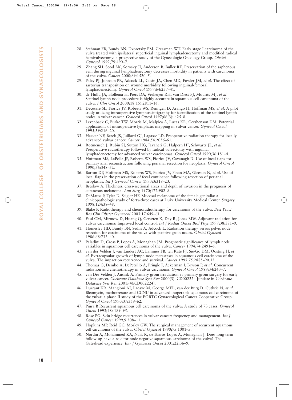- 28. Stehman FB, Bundy BN, Dvoretsky PM, Creasman WT. Early stage I carcinoma of the vulva treated with ipsilateral superficial inguinal lymphadenectomy and modified radical hemivulvectomy: a prospective study of the Gynecologic Oncology Group. *Obstet Gynecol* 1992;79:490–7.
- 29. Zhang SH, Sood AK, Sorosky JI, Anderson B, Buller RE. Preservation of the saphenous vein during inguinal lymphadenectomy decreases morbidity in patients with carcinoma of the vulva. *Cancer* 2000;89:1520–5.
- 29. Paley PJ, Johnson PR, Adcock LL, Cosin JA, Chen MD, Fowler JM, *et al*. The effect of sartorius transposition on wound morbidity following inguinal-femoral lymphadenectomy. *Gynecol Oncol* 1997;64:237–41.
- 30. de Hullu JA, Hollema H, Piers DA, Verheijen RH, van Diest PJ, Mourits MJ, *et al*. Sentinel lymph node procedure is highly accurate in squamous cell carcinoma of the vulva. *J Clin Oncol* 2000;18(15):2811–16.
- 31. Decesare SL, Fiorica JV, Roberts WS, Reintgen D, Arango H, Hoffman MS, *et al*. A pilot study utilizing intraoperative lymphoscintigraphy for identification of the sentinel lymph nodes in vulvar cancer. *Gynecol Oncol* 1997;66(3): 425–8.
- 32. Levenback C, Burke TW, Morris M, Malpica A, Lucas KR, Gershenson DM. Potential applications of intraoperative lymphatic mapping in vulvar cancer. *Gynecol Oncol* 1995;59:216–20.
- 33. Hacker NF, Berek JS, Juillard GJ, Lagasse LD. Preoperative radiation therapy for locally advanced vulvar cancer. *Cancer* 1984;54:2056–61.
- 34. Rotmensch J, Rubin SJ, Sutton HG, Javaheri G, Halpern HJ, Schwartz JL, *et al*. Preoperative radiotherapy followed by radical vulvectomy with inguinal lymphadenectomy for advanced vulvar carcinomas. *Gynecol Oncol* 1990;36:181–4.
- 35. Hoffman MS, LaPolla JP, Roberts WS, Fiorica JV, Cavanagh D. Use of local flaps for primary anal reconstruction following perianal resection for neoplasia. *Gynecol Oncol* 1990;36:348–52.
- 36. Barton DP, Hoffman MS, Roberts WS, Fiorica JV, Finan MA, Gleeson N, *et al*. Use of local flaps in the preservation of fecal continence following resection of perianal neoplasias. *Int J Gynecol Cancer* 1993;3:318–23.
- 37. Breslow A. Thickness, cross-sectional areas and depth of invasion in the prognosis of cutaneous melanoma. *Ann Surg* 1970;172:902–8.
- 38. DeMatos P, Tyler D, Seigler HF. Mucosal melanoma of the female genitalia: a clinicopathologic study of forty-three cases at Duke University Medical Center. *Surgery* 1998;124:38–48.
- 39. Blake P. Radiotherapy and chemoradiotherapy for carcinoma of the vulva. *Best Pract Res Clin Obstet Gynaecol* 2003;17:649–61.
- 40. Faul CM, Mirmow D, Huang Q, Gerszten K, Day R, Jones MW. Adjuvant radiation for vulvar carcinoma: Improved local control. *Int J Radiat Oncol Biol Phys* 1997;38:381–9.
- 41. Homesley HD, Bundy BN, Sedlis A, Adcock L. Radiation therapy versus pelvic node resection for carcinoma of the vulva with positive groin nodes. *Obstet Gynecol* 1986;68:733–40.
- 42. Paladini D, Cross P, Lopes A, Monaghan JM. Prognostic significance of lymph node variables in squamous cell carcinoma of the vulva. *Cancer* 1994;74:2491–6.
- 43. van der Velden J, van Lindert AC, Lammes FB, ten Kate FJ, Sie-Go DM, Oosting H, *et al*. Extracapsular growth of lymph node metastases in squamous cell carcinoma of the vulva. The impact on recurrence and survival. *Cancer* 1995;75:2885–90.35.
- 44. Thomas G, Dembo A, DePetrillo A, Pringle J, Ackerman I, Bryson P, *et al*. Concurrent radiation and chemotherapy in vulvar carcinoma. *Gynecol Oncol* 1989;34:263–7.
- 45. van Der Velden J, Ansink A. Primary groin irradiation vs primary groin surgery for early vulvar cancer. *Cochrane Database Syst Rev* 2000(3): CD002224 [update in *Cochrane Database Syst Rev* 2001;(4):CD002224].
- 46. Durrant KR, Mangioni AJ, Lacave M, George MEL, van der Burg D, Guthrie N, *et al*. Bleomycin, methotrexate and CCNU in advanced inoperable squamous cell carcinoma of the vulva: a phase II study of the EORTC Gynaecological Cancer Cooperative Group. *Gynecol Oncol* 1990;37:359–62.
- 47. Piura B Recurrent squamous cell carcinoma of the vulva: A study of 73 cases. *Gynecol Oncol* 1993;48: 189–95.
- 48. Rose PG. Skin bridge recurrences in vulvar cancer: frequency and management. *Int J Gynecol Cancer* 1999;9:508–11.
- 49. Hopkins MP, Reid GC, Morley GW. The surgical management of recurrent squamous cell carcinoma of the vulva. *Obstet Gynecol* 1990;75:1001–5.
- 50. Nordin A, Mohammed KA, Naik R, de Barros Lopes A, Monaghan J. Does long-term follow-up have a role for node negative squamous carcinoma of the vulva? The Gateshead experience. *Eur J Gynaecol Oncol* 2001;22:36–9.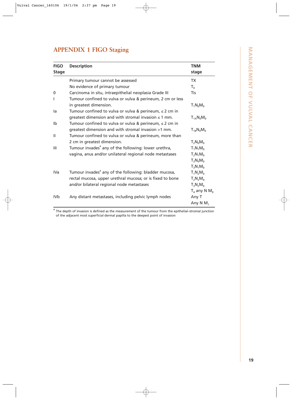# MANAGEMENT OF VULVAL CANCER **19**<br>**NANAGEMENT OF VULVAL CANCER**

# **APPENDIX 1 FIGO Staging**

| <b>FIGO</b><br><b>Stage</b> | <b>Description</b>                                                | <b>TNM</b><br>stage        |
|-----------------------------|-------------------------------------------------------------------|----------------------------|
|                             | Primary tumour cannot be assessed                                 | <b>TX</b>                  |
|                             | No evidence of primary tumour                                     | $T_0$                      |
| 0                           | Carcinoma in situ, intraepithelial neoplasia Grade III            | Tis                        |
| ı                           | Tumour confined to vulva or vulva & perineum, 2 cm or less        |                            |
|                             | in greatest dimension.                                            | $T_1N_0M_0$                |
| la                          | Tumour confined to vulva or vulva & perineum, $\leq 2$ cm in      |                            |
|                             | greatest dimension and with stromal invasion $\leq 1$ mm.         | $T_{1A}N_0M_0$             |
| Ib                          | Tumour confined to vulva or vulva & perineum, $\leq 2$ cm in      |                            |
|                             | greatest dimension and with stromal invasion >1 mm.               | $T_{1B}N_0M_0$             |
| Ш                           | Tumour confined to vulva or vulva & perineum, more than           |                            |
|                             | 2 cm in greatest dimension.                                       | $T_2N_0M_0$                |
| Ш                           | Tumour invades <sup>ª</sup> any of the following: lower urethra,  | $T_1N_1M_0$                |
|                             | vagina, anus and/or unilateral regional node metastases           | $T_2N_1M_0$                |
|                             |                                                                   | $T_3N_0M_0$                |
|                             |                                                                   | $T_3N_1M_0$                |
| IVa                         | Tumour invades <sup>ª</sup> any of the following: bladder mucosa, | $T_1N_2M_0$                |
|                             | rectal mucosa, upper urethral mucosa; or is fixed to bone         | $T_2N_2M_0$                |
|                             | and/or bilateral regional node metastases                         | $T_3N_2M_0$                |
|                             |                                                                   | $T_4$ any N M <sub>0</sub> |
| IV <sub>b</sub>             | Any distant metastases, including pelvic lymph nodes              | Any T                      |
|                             |                                                                   | Any N $M_1$                |

<sup>a</sup> The depth of invasion is defined as the measurement of the tumour from the epithelial–stromal junction of the adjacent most superficial dermal papilla to the deepest point of invasion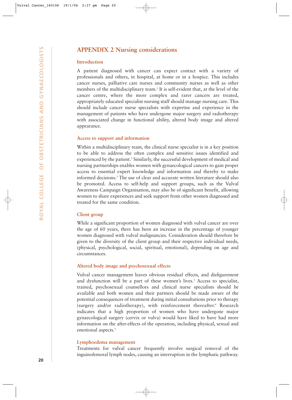# **APPENDIX 2 Nursing considerations**

### **Introduction**

A patient diagnosed with cancer can expect contact with a variety of professionals and others, in hospital, at home or in a hospice. This includes cancer nurses, palliative care nurses and community nurses as well as other members of the multidisciplinary team.<sup>1</sup> It is self-evident that, at the level of the cancer centre, where the more complex and rarer cancers are treated, appropriately educated specialist nursing staff should manage nursing care. This should include cancer nurse specialists with expertise and experience in the management of patients who have undergone major surgery and radiotherapy with associated change in functional ability, altered body image and altered appearance.

### **Access to support and information**

Within a multidisciplinary team, the clinical nurse specialist is in a key position to be able to address the often complex and sensitive issues identified and experienced by the patient.<sup>2</sup> Similarly, the successful development of medical and nursing partnerships enables women with gynaecological cancers to gain proper access to essential expert knowledge and information and thereby to make informed decisions.3 The use of clear and accurate written literature should also be promoted. Access to self-help and support groups, such as the Vulval Awareness Campaign Organisation, may also be of significant benefit, allowing women to share experiences and seek support from other women diagnosed and treated for the same condition.

### **Client group**

While a significant proportion of women diagnosed with vulval cancer are over the age of 60 years, there has been an increase in the percentage of younger women diagnosed with vulval malignancies. Consideration should therefore be given to the diversity of the client group and their respective individual needs, (physical, psychological, social, spiritual, emotional), depending on age and circumstances.

### **Altered body image and psychosexual effects**

Vulval cancer management leaves obvious residual effects, and disfigurement and dysfunction will be a part of these women's lives.<sup>3</sup> Access to specialist, trained, psychosexual counsellors and clinical nurse specialists should be available and both women and their partners should be made aware of the potential consequences of treatment during initial consultations prior to therapy (surgery and/or radiotherapy), with reinforcement thereafter.4 Research indicates that a high proportion of women who have undergone major gynaecological surgery (cervix or vulva) would have liked to have had more information on the after-effects of the operation, including physical, sexual and emotional aspects.<sup>5</sup>

### **Lymphoedema management**

Treatments for vulval cancer frequently involve surgical removal of the inguinofemoral lymph nodes, causing an interruption in the lymphatic pathway.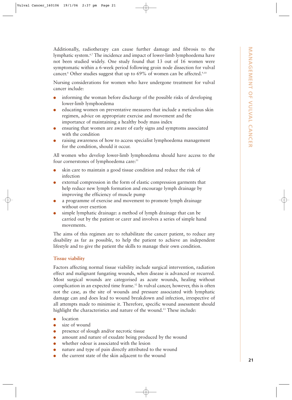Additionally, radiotherapy can cause further damage and fibrosis to the lymphatic system.6,7 The incidence and impact of lower-limb lymphoedema have not been studied widely. One study found that 13 out of 16 women were symptomatic within a 6-week period following groin node dissection for vulval cancer.<sup>8</sup> Other studies suggest that up to 69% of women can be affected.<sup>9,10</sup>

Nursing considerations for women who have undergone treatment for vulval cancer include:

- informing the woman before discharge of the possible risks of developing lower-limb lymphoedema
- educating women on preventative measures that include a meticulous skin regimen, advice on appropriate exercise and movement and the importance of maintaining a healthy body mass index
- ensuring that women are aware of early signs and symptoms associated with the condition
- raising awareness of how to access specialist lymphoedema management for the condition, should it occur.

All women who develop lower-limb lymphoedema should have access to the four cornerstones of lymphoedema care:<sup>11</sup>

- skin care to maintain a good tissue condition and reduce the risk of infection
- external compression in the form of elastic compression garments that help reduce new lymph formation and encourage lymph drainage by improving the efficiency of muscle pump
- a programme of exercise and movement to promote lymph drainage without over exertion
- simple lymphatic drainage: a method of lymph drainage that can be carried out by the patient or carer and involves a series of simple hand movements.

The aims of this regimen are to rehabilitate the cancer patient, to reduce any disability as far as possible, to help the patient to achieve an independent lifestyle and to give the patient the skills to manage their own condition.

### **Tissue viability**

Factors affecting normal tissue viability include surgical intervention, radiation effect and malignant fungating wounds, when disease is advanced or recurred. Most surgical wounds are categorised as acute wounds, healing without complication in an expected time frame.12 In vulval cancer, however, this is often not the case, as the site of wounds and pressure associated with lymphatic damage can and does lead to wound breakdown and infection, irrespective of all attempts made to minimise it. Therefore, specific wound assessment should highlight the characteristics and nature of the wound.<sup>13</sup> These include:

- location
- size of wound
- presence of slough and/or necrotic tissue
- amount and nature of exudate being produced by the wound
- whether odour is associated with the lesion
- nature and type of pain directly attributed to the wound
- the current state of the skin adjacent to the wound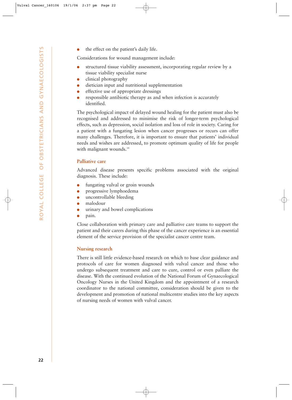the effect on the patient's daily life.

Considerations for wound management include:

- structured tissue viability assessment, incorporating regular review by a tissue viability specialist nurse
- clinical photography
- dietician input and nutritional supplementation
- effective use of appropriate dressings
- responsible antibiotic therapy as and when infection is accurately identified.

The psychological impact of delayed wound healing for the patient must also be recognised and addressed to minimise the risk of longer-term psychological effects, such as depression, social isolation and loss of role in society. Caring for a patient with a fungating lesion when cancer progresses or recurs can offer many challenges. Therefore, it is important to ensure that patients' individual needs and wishes are addressed, to promote optimum quality of life for people with malignant wounds.<sup>14</sup>

### **Palliative care**

Advanced disease presents specific problems associated with the original diagnosis. These include:

- fungating vulval or groin wounds
- progressive lymphoedema
- uncontrollable bleeding
- malodour
- urinary and bowel complications
- pain.

Close collaboration with primary care and palliative care teams to support the patient and their carers during this phase of the cancer experience is an essential element of the service provision of the specialist cancer centre team.

### **Nursing research**

There is still little evidence-based research on which to base clear guidance and protocols of care for women diagnosed with vulval cancer and those who undergo subsequent treatment and care to cure, control or even palliate the disease. With the continued evolution of the National Forum of Gynaecological Oncology Nurses in the United Kingdom and the appointment of a research coordinator to the national committee, consideration should be given to the development and promotion of national multicentre studies into the key aspects of nursing needs of women with vulval cancer.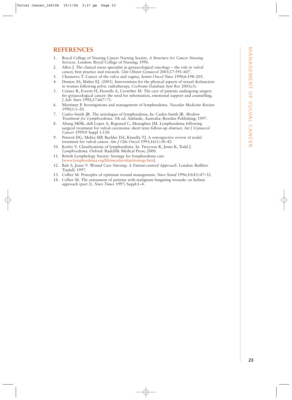# **REFERENCES**

- 1. Royal College of Nursing Cancer Nursing Society. *A Structure for Cancer Nursing Services*. London: Royal College of Nursing; 1996.
- 2. Allen J. The clinical nurse specialist in gynaecological oncology the role in vulval cancer, best practice and research. *Clin Obstet Gynaecol* 2003;17:591–607.
- 3. Chamorro T. Cancer of the vulva and vagina, *Semin Oncol Nurs* 1990;6:198–205.
- 4. Denton AS, Maher EJ. (2003). Interventions for the physical aspects of sexual dysfunction in women following pelvic radiotherapy, *Cochrane Database Syst Rev* 2003;(3).
- 5. Corney R, Everett H, Howells A, Crowther M. The care of patients undergoing surgery for gynaecological cancer: the need for information, emotional support and counselling, *J Adv Nurs* 1992;17:667–71.
- 6. Mortimer P. Investigations and management of lymphoedema. *Vascular Medicine Review* 1990;1:1–20.
- 7. Casley-Smith JR. The aetiologies of lymphoedema, In: Casley-Smith JR. *Modern Treatment for Lymphoedema*. 5th ed. Adelaide, Australia: Bowden Publishing; 1997.
- 8. Abang MDK, deB Lopez A, Regnaud C, Monaghan JM. Lymphoedema following surgical treatment for vulval carcinoma: short term follow-up abstract. *Int J Gynaecol Cancer* 1999;9 Suppl 1:130.
- 9. Petereit DG, Mehta MP, Buchler DA, Kinsella TJ. A retrospective review of nodal treatment for vulval cancer. *Am J Clin Oncol* 1993;16(1):38–42.
- 10. Keeley V. Classifications of lymphoedema. In: Twycross R, Jenns K, Todd J. *Lymphoedema*. Oxford: Radcliffe Medical Press; 2000.
- 11. British Lymphology Society. Strategy for lymphoedema care [www.lymphoedema.org/bls/membership/strategy.htm].
- 12. Bale S, Jones V. *Wound Care Nursing: A Patient-centred Approach*. London: Baillière Tindall; 1997.
- 13. Collier M. Principles of optimum wound management. *Nurs Stand* 1996;10(43):47–52.
- 14. Collier M. The assessment of patients with malignant fungating wounds: an holistic approach (part 2). *Nurs Times* 1997; Suppl:1–4.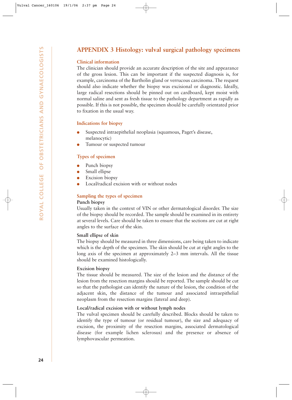# **APPENDIX 3 Histology: vulval surgical pathology specimens**

### **Clinical information**

The clinician should provide an accurate description of the site and appearance of the gross lesion. This can be important if the suspected diagnosis is, for example, carcinoma of the Bartholin gland or verrucous carcinoma. The request should also indicate whether the biopsy was excisional or diagnostic. Ideally, large radical resections should be pinned out on cardboard, kept moist with normal saline and sent as fresh tissue to the pathology department as rapidly as possible. If this is not possible, the specimen should be carefully orientated prior to fixation in the usual way.

### **Indications for biopsy**

- Suspected intraepithelial neoplasia (squamous, Paget's disease, melanocytic)
- Tumour or suspected tumour

### **Types of specimen**

- Punch biopsy
- Small ellipse
- **Excision** biopsy
- Local/radical excision with or without nodes

# **Sampling the types of specimen**

### **Punch biopsy**

Usually taken in the context of VIN or other dermatological disorder. The size of the biopsy should be recorded. The sample should be examined in its entirety at several levels. Care should be taken to ensure that the sections are cut at right angles to the surface of the skin.

### **Small ellipse of skin**

The biopsy should be measured in three dimensions, care being taken to indicate which is the depth of the specimen. The skin should be cut at right angles to the long axis of the specimen at approximately 2–3 mm intervals. All the tissue should be examined histologically.

### **Excision biopsy**

The tissue should be measured. The size of the lesion and the distance of the lesion from the resection margins should be reported. The sample should be cut so that the pathologist can identify the nature of the lesion, the condition of the adjacent skin, the distance of the tumour and associated intraepithelial neoplasm from the resection margins (lateral and deep).

### **Local/radical excision with or without lymph nodes**

The vulval specimen should be carefully described. Blocks should be taken to identify the type of tumour (or residual tumour), the size and adequacy of excision, the proximity of the resection margins, associated dermatological disease (for example lichen sclerosus) and the presence or absence of lymphovascular permeation.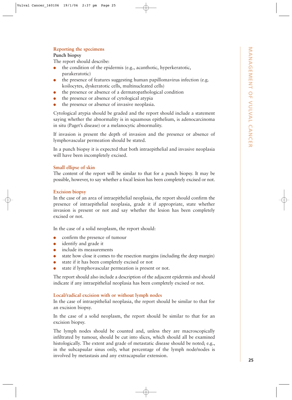### **Reporting the specimens**

### **Punch biopsy**

The report should describe:

- $\bullet$  the condition of the epidermis (e.g., acanthotic, hyperkeratotic, parakeratotic)
- the presence of features suggesting human papillomavirus infection (e.g. koilocytes, dyskeratotic cells, multinucleated cells)
- the presence or absence of a dermatopathological condition
- the presence or absence of cytological atypia
- the presence or absence of invasive neoplasia.

Cytological atypia should be graded and the report should include a statement saying whether the abnormality is in squamous epithelium, is adenocarcinoma in situ (Paget's disease) or a melanocytic abnormality.

If invasion is present the depth of invasion and the presence or absence of lymphovascular permeation should be stated.

In a punch biopsy it is expected that both intraepithelial and invasive neoplasia will have been incompletely excised.

### **Small ellipse of skin**

The content of the report will be similar to that for a punch biopsy. It may be possible, however, to say whether a focal lesion has been completely excised or not.

### **Excision biopsy**

In the case of an area of intraepithelial neoplasia, the report should confirm the presence of intraepithelial neoplasia, grade it if appropriate, state whether invasion is present or not and say whether the lesion has been completely excised or not.

In the case of a solid neoplasm, the report should:

- confirm the presence of tumour
- identify and grade it
- include its measurements
- state how close it comes to the resection margins (including the deep margin)
- state if it has been completely excised or not
- state if lymphovascular permeation is present or not.

The report should also include a description of the adjacent epidermis and should indicate if any intraepithelial neoplasia has been completely excised or not.

### **Local/radical excision with or without lymph nodes**

In the case of intraepithelial neoplasia, the report should be similar to that for an excision biopsy.

In the case of a solid neoplasm, the report should be similar to that for an excision biopsy.

The lymph nodes should be counted and, unless they are macroscopically infiltrated by tumour, should be cut into slices, which should all be examined histologically. The extent and grade of metastatic disease should be noted; e.g., in the subcapsular sinus only, what percentage of the lymph node/nodes is involved by metastasis and any extracapsular extension.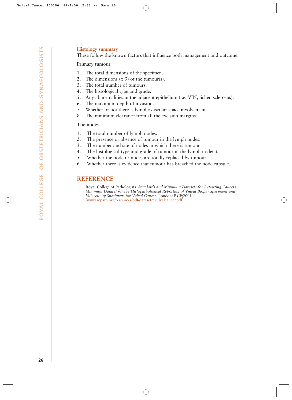### **Histology summary**

These follow the known factors that influence both management and outcome.

### **Primary tumour**

- 1. The total dimensions of the specimen.
- 2. The dimensions (x 3) of the tumour(s).
- 3. The total number of tumours.
- 4. The histological type and grade.
- 5. Any abnormalities in the adjacent epithelium (i.e. VIN, lichen sclerosus).
- 6. The maximum depth of invasion.
- 7. Whether or not there is lymphovascular space involvement.
- 8. The minimum clearance from all the excision margins.

### **The nodes**

- 1. The total number of lymph nodes.
- 2. The presence or absence of tumour in the lymph nodes.
- 3. The number and site of nodes in which there is tumour.
- 4. The histological type and grade of tumour in the lymph node(s).
- 5. Whether the node or nodes are totally replaced by tumour.
- 6. Whether there is evidence that tumour has breached the node capsule.

### **REFERENCE**

1. Royal College of Pathologists. *Standards and Minimum Datasets for Reporting Cancers. Minimum Dataset for the Histopathological Reporting of Vulval Biopsy Specimens and Vulvectomy Specimens for Vulval Cancer*. London: RCP;2001 [www.rcpath.org/resources/pdf/datasetrevulvalcancer.pdf].